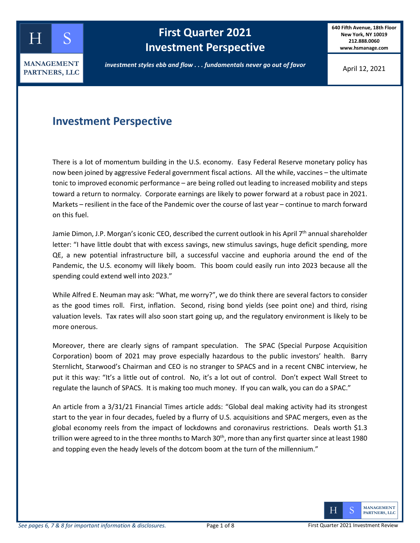

# **First Quarter 2021 Investment Perspective**

**640 Fifth Avenue, 18th Floor New York, NY 10019 212.888.0060 www.hsmanage.com**

*investment styles ebb and flow . . . fundamentals never go out of favor*

April 12, 2021

### **Investment Perspective**

There is a lot of momentum building in the U.S. economy. Easy Federal Reserve monetary policy has now been joined by aggressive Federal government fiscal actions. All the while, vaccines – the ultimate tonic to improved economic performance – are being rolled out leading to increased mobility and steps toward a return to normalcy. Corporate earnings are likely to power forward at a robust pace in 2021. Markets – resilient in the face of the Pandemic over the course of last year – continue to march forward on this fuel.

Jamie Dimon, J.P. Morgan's iconic CEO, described the current outlook in his April 7<sup>th</sup> annual shareholder letter: "I have little doubt that with excess savings, new stimulus savings, huge deficit spending, more QE, a new potential infrastructure bill, a successful vaccine and euphoria around the end of the Pandemic, the U.S. economy will likely boom. This boom could easily run into 2023 because all the spending could extend well into 2023."

While Alfred E. Neuman may ask: "What, me worry?", we do think there are several factors to consider as the good times roll. First, inflation. Second, rising bond yields (see point one) and third, rising valuation levels. Tax rates will also soon start going up, and the regulatory environment is likely to be more onerous.

Moreover, there are clearly signs of rampant speculation. The SPAC (Special Purpose Acquisition Corporation) boom of 2021 may prove especially hazardous to the public investors' health. Barry Sternlicht, Starwood's Chairman and CEO is no stranger to SPACS and in a recent CNBC interview, he put it this way: "It's a little out of control. No, it's a lot out of control. Don't expect Wall Street to regulate the launch of SPACS. It is making too much money. If you can walk, you can do a SPAC."

An article from a 3/31/21 Financial Times article adds: "Global deal making activity had its strongest start to the year in four decades, fueled by a flurry of U.S. acquisitions and SPAC mergers, even as the global economy reels from the impact of lockdowns and coronavirus restrictions. Deals worth \$1.3 trillion were agreed to in the three months to March 30<sup>th</sup>, more than any first quarter since at least 1980 and topping even the heady levels of the dotcom boom at the turn of the millennium."

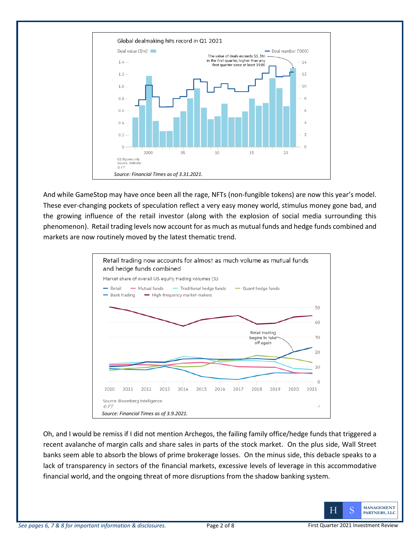

And while GameStop may have once been all the rage, NFTs (non-fungible tokens) are now this year's model. These ever-changing pockets of speculation reflect a very easy money world, stimulus money gone bad, and the growing influence of the retail investor (along with the explosion of social media surrounding this phenomenon). Retail trading levels now account for as much as mutual funds and hedge funds combined and markets are now routinely moved by the latest thematic trend.



Oh, and I would be remiss if I did not mention Archegos, the failing family office/hedge funds that triggered a recent avalanche of margin calls and share sales in parts of the stock market. On the plus side, Wall Street banks seem able to absorb the blows of prime brokerage losses. On the minus side, this debacle speaks to a lack of transparency in sectors of the financial markets, excessive levels of leverage in this accommodative financial world, and the ongoing threat of more disruptions from the shadow banking system.

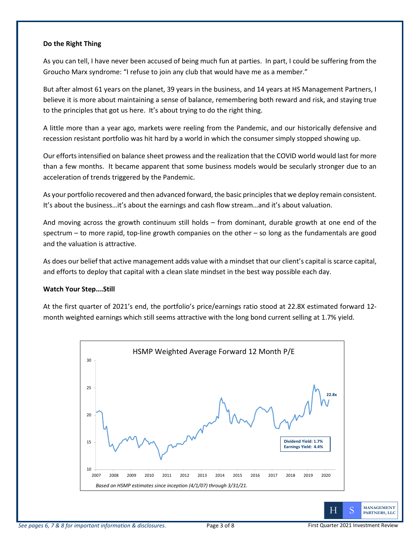#### **Do the Right Thing**

As you can tell, I have never been accused of being much fun at parties. In part, I could be suffering from the Groucho Marx syndrome: "I refuse to join any club that would have me as a member."

But after almost 61 years on the planet, 39 years in the business, and 14 years at HS Management Partners, I believe it is more about maintaining a sense of balance, remembering both reward and risk, and staying true to the principles that got us here. It's about trying to do the right thing.

A little more than a year ago, markets were reeling from the Pandemic, and our historically defensive and recession resistant portfolio was hit hard by a world in which the consumer simply stopped showing up.

Our efforts intensified on balance sheet prowess and the realization that the COVID world would last for more than a few months. It became apparent that some business models would be secularly stronger due to an acceleration of trends triggered by the Pandemic.

As your portfolio recovered and then advanced forward, the basic principles that we deploy remain consistent. It's about the business…it's about the earnings and cash flow stream…and it's about valuation.

And moving across the growth continuum still holds – from dominant, durable growth at one end of the spectrum – to more rapid, top-line growth companies on the other – so long as the fundamentals are good and the valuation is attractive.

As does our belief that active management adds value with a mindset that our client's capital is scarce capital, and efforts to deploy that capital with a clean slate mindset in the best way possible each day.

### **Watch Your Step….Still**

At the first quarter of 2021's end, the portfolio's price/earnings ratio stood at 22.8X estimated forward 12 month weighted earnings which still seems attractive with the long bond current selling at 1.7% yield.



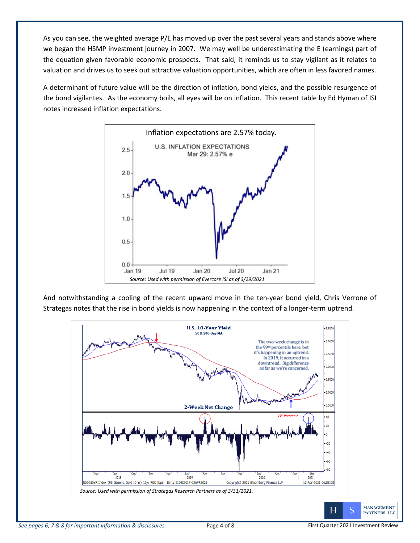As you can see, the weighted average P/E has moved up over the past several years and stands above where we began the HSMP investment journey in 2007. We may well be underestimating the E (earnings) part of the equation given favorable economic prospects. That said, it reminds us to stay vigilant as it relates to valuation and drives us to seek out attractive valuation opportunities, which are often in less favored names.

A determinant of future value will be the direction of inflation, bond yields, and the possible resurgence of the bond vigilantes. As the economy boils, all eyes will be on inflation. This recent table by Ed Hyman of ISI notes increased inflation expectations.



And notwithstanding a cooling of the recent upward move in the ten-year bond yield, Chris Verrone of Strategas notes that the rise in bond yields is now happening in the context of a longer-term uptrend.

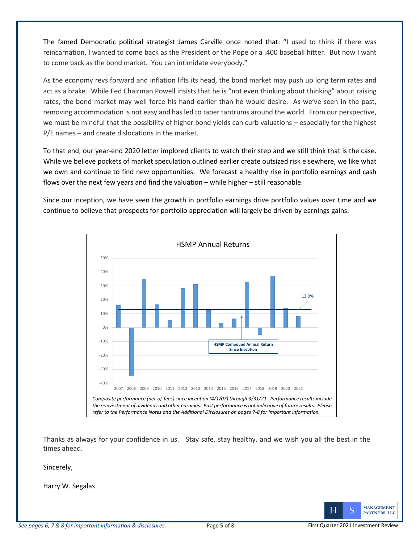The famed Democratic political strategist James Carville once noted that: "I used to think if there was reincarnation, I wanted to come back as the President or the Pope or a .400 baseball hitter. But now I want to come back as the bond market. You can intimidate everybody."

As the economy revs forward and inflation lifts its head, the bond market may push up long term rates and act as a brake. While Fed Chairman Powell insists that he is "not even thinking about thinking" about raising rates, the bond market may well force his hand earlier than he would desire. As we've seen in the past, removing accommodation is not easy and has led to taper tantrums around the world. From our perspective, we must be mindful that the possibility of higher bond yields can curb valuations – especially for the highest P/E names – and create dislocations in the market.

To that end, our year-end 2020 letter implored clients to watch their step and we still think that is the case. While we believe pockets of market speculation outlined earlier create outsized risk elsewhere, we like what we own and continue to find new opportunities. We forecast a healthy rise in portfolio earnings and cash flows over the next few years and find the valuation – while higher – still reasonable.

Since our inception, we have seen the growth in portfolio earnings drive portfolio values over time and we continue to believe that prospects for portfolio appreciation will largely be driven by earnings gains.



Thanks as always for your confidence in us. Stay safe, stay healthy, and we wish you all the best in the times ahead.

Sincerely,

Harry W. Segalas

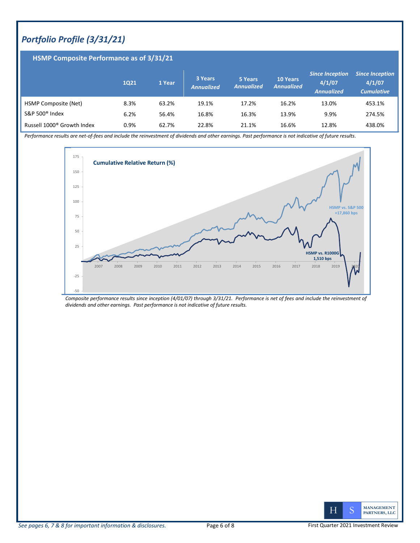# *Portfolio Profile (3/31/21)*

| <b>HSMP Composite Performance as of 3/31/21</b> |      |        |                              |                              |                                      |                                                       |                                                       |
|-------------------------------------------------|------|--------|------------------------------|------------------------------|--------------------------------------|-------------------------------------------------------|-------------------------------------------------------|
|                                                 | 1021 | 1 Year | 3 Years<br><b>Annualized</b> | 5 Years<br><b>Annualized</b> | <b>10 Years</b><br><b>Annualized</b> | <b>Since Inception</b><br>4/1/07<br><b>Annualized</b> | <b>Since Inception</b><br>4/1/07<br><b>Cumulative</b> |
| HSMP Composite (Net)                            | 8.3% | 63.2%  | 19.1%                        | 17.2%                        | 16.2%                                | 13.0%                                                 | 453.1%                                                |
| S&P 500 <sup>®</sup> Index                      | 6.2% | 56.4%  | 16.8%                        | 16.3%                        | 13.9%                                | 9.9%                                                  | 274.5%                                                |
| Russell 1000 <sup>®</sup> Growth Index          | 0.9% | 62.7%  | 22.8%                        | 21.1%                        | 16.6%                                | 12.8%                                                 | 438.0%                                                |

*Performance results are net-of-fees and include the reinvestment of dividends and other earnings. Past performance is not indicative of future results.* 



*Composite performance results since inception (4/01/07) through 3/31/21. Performance is net of fees and include the reinvestment of dividends and other earnings. Past performance is not indicative of future results.*

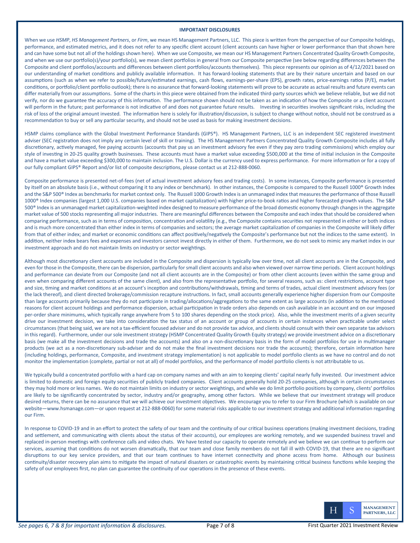#### **IMPORTANT DISCLOSURES**

When we use *HSMP*, *HS Management Partners*, or *Firm*, we mean HS Management Partners, LLC. This piece is written from the perspective of our Composite holdings, performance, and estimated metrics, and it does not refer to any specific client account (client accounts can have higher or lower performance than that shown here and can have some but not all of the holdings shown here). When we use Composite, we mean our HS Management Partners Concentrated Quality Growth Composite, and when we use our portfolio(s)/your portfolio(s), we mean client portfolios in general from our Composite perspective (see below regarding differences between the Composite and client portfolios/accounts and differences between client portfolios/accounts themselves). This piece represents our opinion as of 4/12/2021 based on our understanding of market conditions and publicly available information. It has forward-looking statements that are by their nature uncertain and based on our assumptions (such as when we refer to possible/future/estimated earnings, cash flows, earnings-per-share (EPS), growth rates, price-earnings ratios (P/E), market conditions, or portfolio/client portfolio outlook); there is no assurance that forward-looking statements will prove to be accurate as actual results and future events can differ materially from our assumptions. Some of the charts in this piece were obtained from the indicated third-party sources which we believe reliable, but we did not verify, nor do we guarantee the accuracy of this information. The performance shown should not be taken as an indication of how the Composite or a client account will perform in the future; past performance is not indicative of and does not guarantee future results. Investing in securities involves significant risks, including the risk of loss of the original amount invested. The information here is solely for illustration/discussion, is subject to change without notice, should not be construed as a recommendation to buy or sell any particular security, and should not be used as basis for making investment decisions.

HSMP claims compliance with the Global Investment Performance Standards (GIPS®). HS Management Partners, LLC is an independent SEC registered investment adviser (SEC registration does not imply any certain level of skill or training). The HS Management Partners Concentrated Quality Growth Composite includes all fully discretionary, actively managed, fee paying accounts (accounts that pay us an investment advisory fee even if they pay zero trading commissions) which employ our style of investing in 20-25 quality growth businesses. These accounts must have a market value exceeding \$500,000 at the time of initial inclusion in the Composite and have a market value exceeding \$300,000 to maintain inclusion. The U.S. Dollar is the currency used to express performance. For more information or for a copy of our fully compliant GIPS® Report and/or list of composite descriptions, please contact us at 212-888-0060.

Composite performance is presented net-of-fees (net of actual investment advisory fees and trading costs). In some instances, Composite performance is presented by itself on an absolute basis (i.e., without comparing it to any index or benchmark). In other instances, the Composite is compared to the Russell 1000® Growth Index and the S&P 500<sup>®</sup> Index as benchmarks for market context only. The Russell 1000 Growth Index is an unmanaged index that measures the performance of those Russell 1000<sup>®</sup> Index companies (largest 1,000 U.S. companies based on market capitalization) with higher price-to-book ratios and higher forecasted growth values. The S&P 500<sup>®</sup> Index is an unmanaged market capitalization-weighted index designed to measure performance of the broad domestic economy through changes in the aggregate market value of 500 stocks representing all major industries. There are meaningful differences between the Composite and each index that should be considered when comparing performance, such as in terms of composition, concentration and volatility (e.g., the Composite contains securities not represented in either or both indices and is much more concentrated than either index in terms of companies and sectors; the average market capitalization of companies in the Composite will likely differ from that of either index; and market or economic conditions can affect positively/negatively the Composite's performance but not the indices to the same extent). In addition, neither index bears fees and expenses and investors cannot invest directly in either of them. Furthermore, we do not seek to mimic any market index in our investment approach and do not maintain limits on industry or sector weightings.

Although most discretionary client accounts are included in the Composite and dispersion is typically low over time, not all client accounts are in the Composite, and even for those in the Composite, there can be dispersion, particularly for small client accounts and also when viewed over narrow time periods. Client account holdings and performance can deviate from our Composite (and not all client accounts are in the Composite) or from other client accounts (even within the same group and even when comparing different accounts of the same client), and also from the representative portfolio, for several reasons, such as: client restrictions, account type and size, timing and market conditions at an account's inception and contributions/withdrawals, timing and terms of trades, actual client investment advisory fees (or the lack thereof), and client directed brokerage/commission recapture instructions. In fact, small accounts generally experience higher dispersion from our Composite than large accounts primarily because they do not participate in trading/allocations/aggregations to the same extent as large accounts (in addition to the mentioned reasons for client account holdings and performance dispersion, actual participation in trade orders also depends on cash available in an account and on our imposed per-order share minimums, which typically range anywhere from 5 to 100 shares depending on the stock price). Also, while the investment merits of a given security drive our investment decision, we take into consideration the tax status of an account or group of accounts in certain instances when practicable under select circumstances (that being said, we are not a tax-efficient focused adviser and do not provide tax advice, and clients should consult with their own separate tax advisors in this regard). Furthermore, under our sole investment strategy (HSMP Concentrated Quality Growth Equity strategy) we provide investment advice on a discretionary basis (we make all the investment decisions and trade the accounts) and also on a non-discretionary basis in the form of model portfolios for use in multimanager products (we act as a non-discretionary sub-adviser and do not make the final investment decisions nor trade the accounts); therefore, certain information here (including holdings, performance, Composite, and investment strategy implementation) is not applicable to model portfolio clients as we have no control and do not monitor the implementation (complete, partial or not at all) of model portfolios, and the performance of model portfolio clients is not attributable to us.

We typically build a concentrated portfolio with a hard cap on company names and with an aim to keeping clients' capital nearly fully invested. Our investment advice is limited to domestic and foreign equity securities of publicly traded companies. Client accounts generally hold 20-25 companies, although in certain circumstances they may hold more or less names. We do not maintain limits on industry or sector weightings, and while we do limit portfolio positions by company, clients' portfolios are likely to be significantly concentrated by sector, industry and/or geography, among other factors. While we believe that our investment strategy will produce desired returns, there can be no assurance that we will achieve our investment objectives. We encourage you to refer to our Firm Brochure (which is available on our website—www.hsmanage.com—or upon request at 212-888-0060) for some material risks applicable to our investment strategy and additional information regarding our Firm.

In response to COVID-19 and in an effort to protect the safety of our team and the continuity of our critical business operations (making investment decisions, trading and settlement, and communicating with clients about the status of their accounts), our employees are working remotely, and we suspended business travel and replaced in-person meetings with conference calls and video chats. We have tested our capacity to operate remotely and we believe we can continue to perform our services, assuming that conditions do not worsen dramatically, that our team and close family members do not fall ill with COVID-19, that there are no significant disruptions to our key service providers, and that our team continues to have internet connectivity and phone access from home. Although our business continuity/disaster recovery plan aims to mitigate the impact of natural disasters or catastrophic events by maintaining critical business functions while keeping the safety of our employees first, no plan can guarantee the continuity of our operations in the presence of these events.